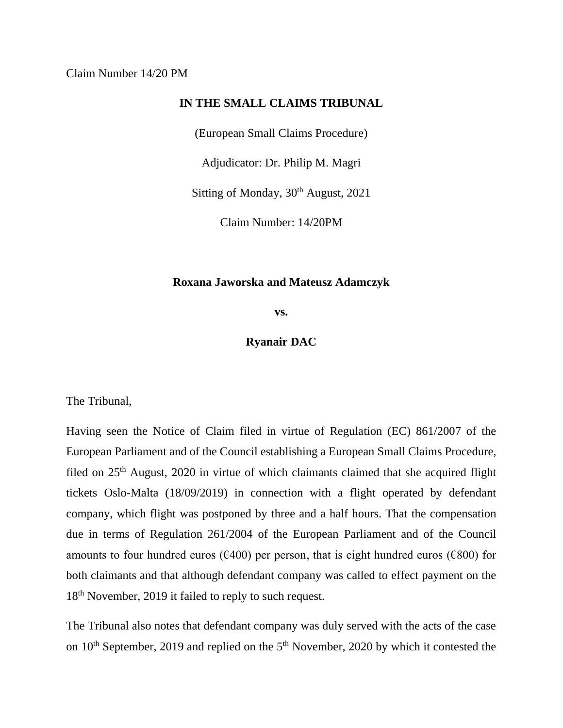## **IN THE SMALL CLAIMS TRIBUNAL**

(European Small Claims Procedure)

Adjudicator: Dr. Philip M. Magri

Sitting of Monday, 30<sup>th</sup> August, 2021

Claim Number: 14/20PM

## **Roxana Jaworska and Mateusz Adamczyk**

**vs.**

**Ryanair DAC**

The Tribunal,

Having seen the Notice of Claim filed in virtue of Regulation (EC) 861/2007 of the European Parliament and of the Council establishing a European Small Claims Procedure, filed on 25<sup>th</sup> August, 2020 in virtue of which claimants claimed that she acquired flight tickets Oslo-Malta (18/09/2019) in connection with a flight operated by defendant company, which flight was postponed by three and a half hours. That the compensation due in terms of Regulation 261/2004 of the European Parliament and of the Council amounts to four hundred euros ( $\epsilon$ 400) per person, that is eight hundred euros ( $\epsilon$ 800) for both claimants and that although defendant company was called to effect payment on the 18<sup>th</sup> November, 2019 it failed to reply to such request.

The Tribunal also notes that defendant company was duly served with the acts of the case on  $10<sup>th</sup>$  September, 2019 and replied on the  $5<sup>th</sup>$  November, 2020 by which it contested the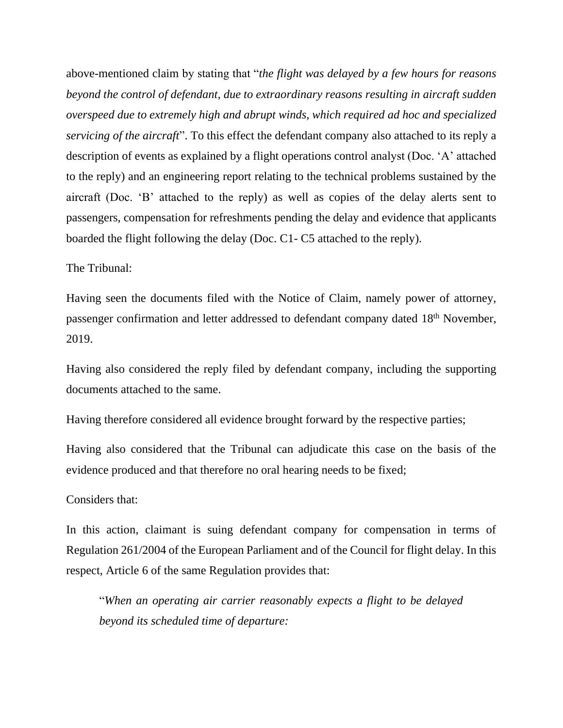above-mentioned claim by stating that "*the flight was delayed by a few hours for reasons beyond the control of defendant, due to extraordinary reasons resulting in aircraft sudden overspeed due to extremely high and abrupt winds, which required ad hoc and specialized servicing of the aircraft*". To this effect the defendant company also attached to its reply a description of events as explained by a flight operations control analyst (Doc. 'A' attached to the reply) and an engineering report relating to the technical problems sustained by the aircraft (Doc. 'B' attached to the reply) as well as copies of the delay alerts sent to passengers, compensation for refreshments pending the delay and evidence that applicants boarded the flight following the delay (Doc. C1- C5 attached to the reply).

The Tribunal:

Having seen the documents filed with the Notice of Claim, namely power of attorney, passenger confirmation and letter addressed to defendant company dated 18th November, 2019.

Having also considered the reply filed by defendant company, including the supporting documents attached to the same.

Having therefore considered all evidence brought forward by the respective parties;

Having also considered that the Tribunal can adjudicate this case on the basis of the evidence produced and that therefore no oral hearing needs to be fixed;

Considers that:

In this action, claimant is suing defendant company for compensation in terms of Regulation 261/2004 of the European Parliament and of the Council for flight delay. In this respect, Article 6 of the same Regulation provides that:

"*When an operating air carrier reasonably expects a flight to be delayed beyond its scheduled time of departure:*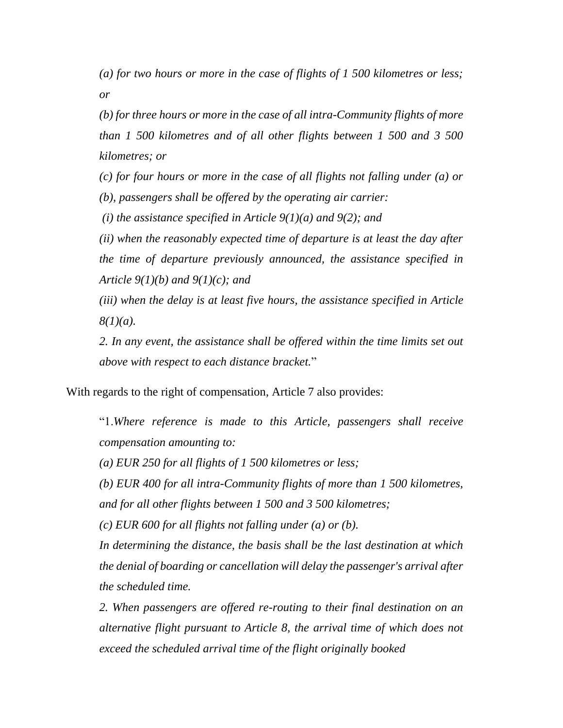*(a) for two hours or more in the case of flights of 1 500 kilometres or less; or* 

*(b) for three hours or more in the case of all intra-Community flights of more than 1 500 kilometres and of all other flights between 1 500 and 3 500 kilometres; or* 

*(c) for four hours or more in the case of all flights not falling under (a) or (b), passengers shall be offered by the operating air carrier:*

*(i) the assistance specified in Article 9(1)(a) and 9(2); and* 

*(ii) when the reasonably expected time of departure is at least the day after the time of departure previously announced, the assistance specified in Article 9(1)(b) and 9(1)(c); and* 

*(iii) when the delay is at least five hours, the assistance specified in Article 8(1)(a).* 

2. In any event, the assistance shall be offered within the time limits set out *above with respect to each distance bracket.*"

With regards to the right of compensation, Article 7 also provides:

"1.*Where reference is made to this Article, passengers shall receive compensation amounting to:* 

*(a) EUR 250 for all flights of 1 500 kilometres or less;* 

*(b) EUR 400 for all intra-Community flights of more than 1 500 kilometres, and for all other flights between 1 500 and 3 500 kilometres;* 

*(c) EUR 600 for all flights not falling under (a) or (b).* 

*In determining the distance, the basis shall be the last destination at which the denial of boarding or cancellation will delay the passenger's arrival after the scheduled time.* 

*2. When passengers are offered re-routing to their final destination on an alternative flight pursuant to Article 8, the arrival time of which does not exceed the scheduled arrival time of the flight originally booked*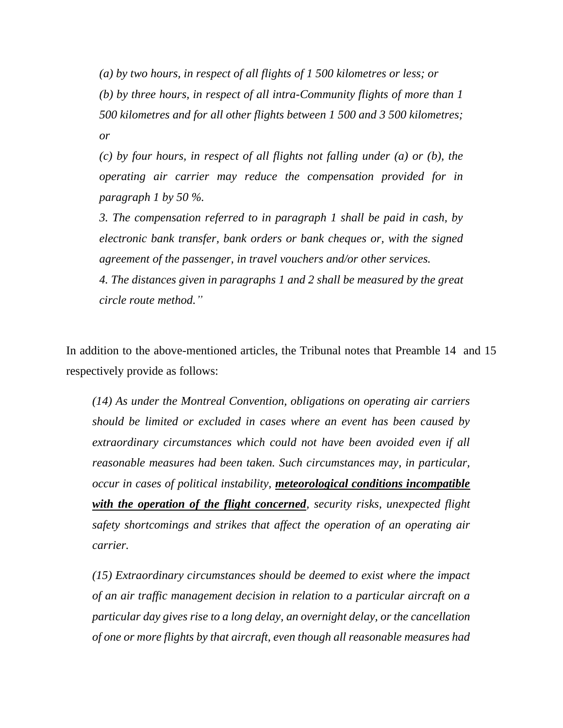*(a) by two hours, in respect of all flights of 1 500 kilometres or less; or (b) by three hours, in respect of all intra-Community flights of more than 1 500 kilometres and for all other flights between 1 500 and 3 500 kilometres; or* 

*(c) by four hours, in respect of all flights not falling under (a) or (b), the operating air carrier may reduce the compensation provided for in paragraph 1 by 50 %.* 

*3. The compensation referred to in paragraph 1 shall be paid in cash, by electronic bank transfer, bank orders or bank cheques or, with the signed agreement of the passenger, in travel vouchers and/or other services.* 

*4. The distances given in paragraphs 1 and 2 shall be measured by the great circle route method."*

In addition to the above-mentioned articles, the Tribunal notes that Preamble 14 and 15 respectively provide as follows:

*(14) As under the Montreal Convention, obligations on operating air carriers should be limited or excluded in cases where an event has been caused by extraordinary circumstances which could not have been avoided even if all reasonable measures had been taken. Such circumstances may, in particular, occur in cases of political instability, meteorological conditions incompatible with the operation of the flight concerned, security risks, unexpected flight safety shortcomings and strikes that affect the operation of an operating air carrier.*

*(15) Extraordinary circumstances should be deemed to exist where the impact of an air traffic management decision in relation to a particular aircraft on a particular day gives rise to a long delay, an overnight delay, or the cancellation of one or more flights by that aircraft, even though all reasonable measures had*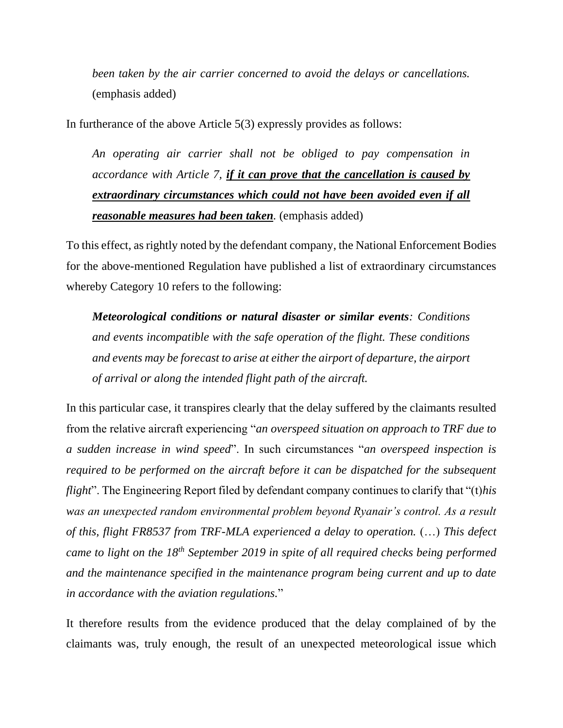*been taken by the air carrier concerned to avoid the delays or cancellations.* (emphasis added)

In furtherance of the above Article 5(3) expressly provides as follows:

*An operating air carrier shall not be obliged to pay compensation in accordance with Article 7, if it can prove that the cancellation is caused by extraordinary circumstances which could not have been avoided even if all reasonable measures had been taken.* (emphasis added)

To this effect, as rightly noted by the defendant company, the National Enforcement Bodies for the above-mentioned Regulation have published a list of extraordinary circumstances whereby Category 10 refers to the following:

*Meteorological conditions or natural disaster or similar events: Conditions and events incompatible with the safe operation of the flight. These conditions and events may be forecast to arise at either the airport of departure, the airport of arrival or along the intended flight path of the aircraft.*

In this particular case, it transpires clearly that the delay suffered by the claimants resulted from the relative aircraft experiencing "*an overspeed situation on approach to TRF due to a sudden increase in wind speed*". In such circumstances "*an overspeed inspection is required to be performed on the aircraft before it can be dispatched for the subsequent flight*". The Engineering Report filed by defendant company continues to clarify that "(t)*his was an unexpected random environmental problem beyond Ryanair's control. As a result of this, flight FR8537 from TRF-MLA experienced a delay to operation.* (…) *This defect came to light on the 18th September 2019 in spite of all required checks being performed and the maintenance specified in the maintenance program being current and up to date in accordance with the aviation regulations.*"

It therefore results from the evidence produced that the delay complained of by the claimants was, truly enough, the result of an unexpected meteorological issue which